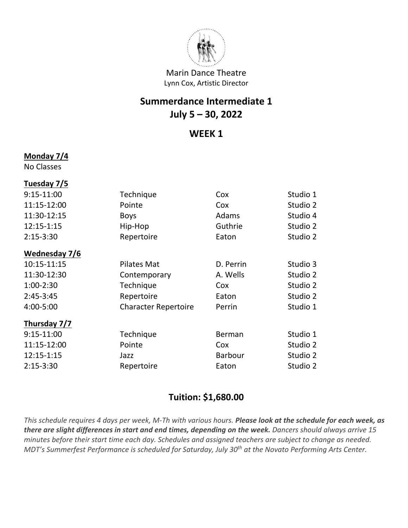

## **Summerdance Intermediate 1 July 5 – 30, 2022**

#### **WEEK 1**

#### **Monday 7/4**

No Classes

#### **Tuesday 7/5**

| 9:15-11:00    | Technique                   | Cox            | Studio 1 |
|---------------|-----------------------------|----------------|----------|
| 11:15-12:00   | Pointe                      | Cox            | Studio 2 |
| 11:30-12:15   | <b>Boys</b>                 | Adams          | Studio 4 |
| 12:15-1:15    | Hip-Hop                     | Guthrie        | Studio 2 |
| $2:15-3:30$   | Repertoire                  | Eaton          | Studio 2 |
| Wednesday 7/6 |                             |                |          |
| 10:15-11:15   | <b>Pilates Mat</b>          | D. Perrin      | Studio 3 |
| 11:30-12:30   | Contemporary                | A. Wells       | Studio 2 |
| $1:00-2:30$   | Technique                   | Cox            | Studio 2 |
| $2:45-3:45$   | Repertoire                  | Eaton          | Studio 2 |
| 4:00-5:00     | <b>Character Repertoire</b> | Perrin         | Studio 1 |
| Thursday 7/7  |                             |                |          |
| $9:15-11:00$  | Technique                   | Berman         | Studio 1 |
| 11:15-12:00   | Pointe                      | Cox            | Studio 2 |
| 12:15-1:15    | Jazz                        | <b>Barbour</b> | Studio 2 |
| $2:15 - 3:30$ | Repertoire                  | Eaton          | Studio 2 |
|               |                             |                |          |

### **Tuition: \$1,680.00**

*This schedule requires 4 days per week, M-Th with various hours. Please look at the schedule for each week, as there are slight differences in start and end times, depending on the week. Dancers should always arrive 15 minutes before their start time each day. Schedules and assigned teachers are subject to change as needed. MDT's Summerfest Performance is scheduled for Saturday, July 30th at the Novato Performing Arts Center.*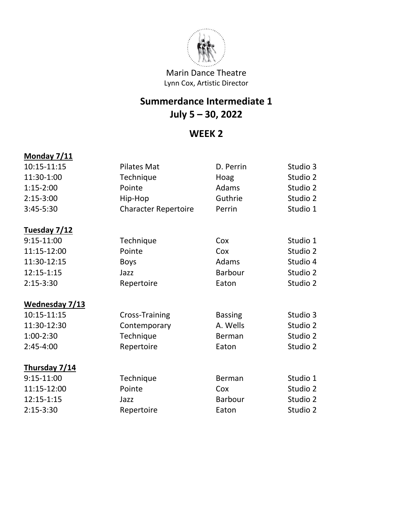

# **Summerdance Intermediate 1 July 5 – 30, 2022**

## **WEEK 2**

| <b>Monday 7/11</b> |                             |                |          |
|--------------------|-----------------------------|----------------|----------|
| 10:15-11:15        | <b>Pilates Mat</b>          | D. Perrin      | Studio 3 |
| 11:30-1:00         | Technique                   | Hoag           | Studio 2 |
| $1:15-2:00$        | Pointe                      | Adams          | Studio 2 |
| $2:15-3:00$        | Hip-Hop                     | Guthrie        | Studio 2 |
| 3:45-5:30          | <b>Character Repertoire</b> | Perrin         | Studio 1 |
| Tuesday 7/12       |                             |                |          |
| 9:15-11:00         | Technique                   | Cox            | Studio 1 |
| 11:15-12:00        | Pointe                      | Cox            | Studio 2 |
| 11:30-12:15        | <b>Boys</b>                 | Adams          | Studio 4 |
| 12:15-1:15         | Jazz                        | <b>Barbour</b> | Studio 2 |
| $2:15-3:30$        | Repertoire                  | Eaton          | Studio 2 |
| Wednesday 7/13     |                             |                |          |
| 10:15-11:15        | Cross-Training              | <b>Bassing</b> | Studio 3 |
| 11:30-12:30        | Contemporary                | A. Wells       | Studio 2 |
| $1:00-2:30$        | Technique                   | Berman         | Studio 2 |
| $2:45-4:00$        | Repertoire                  | Eaton          | Studio 2 |
| Thursday 7/14      |                             |                |          |
| 9:15-11:00         | Technique                   | Berman         | Studio 1 |
| 11:15-12:00        | Pointe                      | Cox            | Studio 2 |
| 12:15-1:15         | Jazz                        | <b>Barbour</b> | Studio 2 |
| $2:15-3:30$        | Repertoire                  | Eaton          | Studio 2 |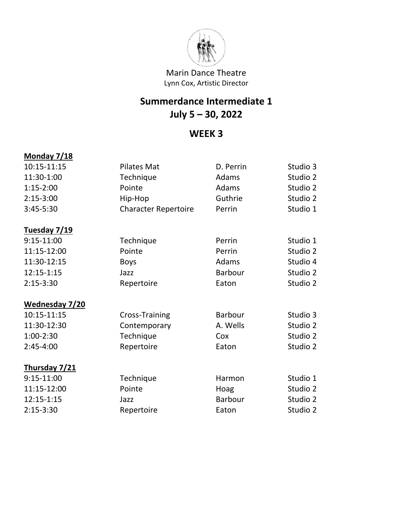

# **Summerdance Intermediate 1 July 5 – 30, 2022**

## **WEEK 3**

| <b>Monday 7/18</b>    |                             |                |          |
|-----------------------|-----------------------------|----------------|----------|
| 10:15-11:15           | <b>Pilates Mat</b>          | D. Perrin      | Studio 3 |
| 11:30-1:00            | Technique                   | Adams          | Studio 2 |
| $1:15-2:00$           | Pointe                      | Adams          | Studio 2 |
| $2:15-3:00$           | Hip-Hop                     | Guthrie        | Studio 2 |
| 3:45-5:30             | <b>Character Repertoire</b> | Perrin         | Studio 1 |
| Tuesday 7/19          |                             |                |          |
| $9:15-11:00$          | Technique                   | Perrin         | Studio 1 |
| 11:15-12:00           | Pointe                      | Perrin         | Studio 2 |
| 11:30-12:15           | <b>Boys</b>                 | Adams          | Studio 4 |
| 12:15-1:15            | Jazz                        | <b>Barbour</b> | Studio 2 |
| $2:15-3:30$           | Repertoire                  | Eaton          | Studio 2 |
| <b>Wednesday 7/20</b> |                             |                |          |
| 10:15-11:15           | Cross-Training              | <b>Barbour</b> | Studio 3 |
| 11:30-12:30           | Contemporary                | A. Wells       | Studio 2 |
| 1:00-2:30             | Technique                   | Cox            | Studio 2 |
| $2:45-4:00$           | Repertoire                  | Eaton          | Studio 2 |
| Thursday 7/21         |                             |                |          |
| $9:15-11:00$          | Technique                   | Harmon         | Studio 1 |
| 11:15-12:00           | Pointe                      | Hoag           | Studio 2 |
| 12:15-1:15            | Jazz                        | <b>Barbour</b> | Studio 2 |
| $2:15-3:30$           | Repertoire                  | Eaton          | Studio 2 |
|                       |                             |                |          |